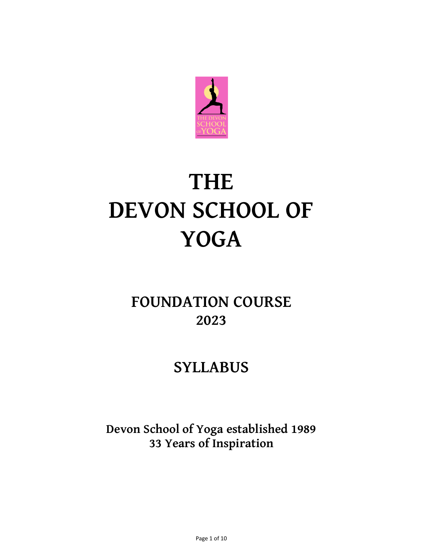

# **THE DEVON SCHOOL OF YOGA**

## **FOUNDATION COURSE 2023**

### **SYLLABUS**

**Devon School of Yoga established 1989 33 Years of Inspiration**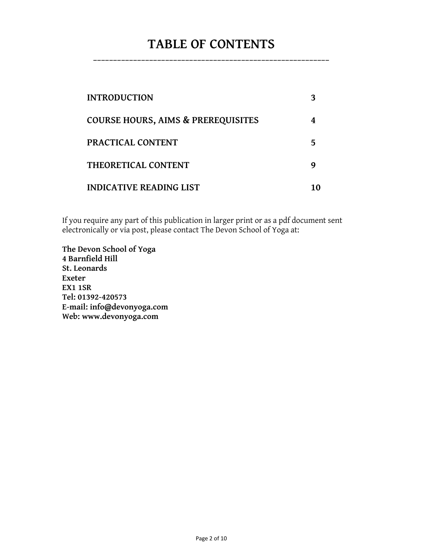### **TABLE OF CONTENTS \_\_\_\_\_\_\_\_\_\_\_\_\_\_\_\_\_\_\_\_\_\_\_\_\_\_\_\_\_\_\_\_\_\_\_\_\_\_\_\_\_\_\_\_\_\_\_\_\_\_\_\_\_\_\_\_\_\_\_**

| <b>INTRODUCTION</b>                           |   |
|-----------------------------------------------|---|
| <b>COURSE HOURS, AIMS &amp; PREREQUISITES</b> |   |
| <b>PRACTICAL CONTENT</b>                      | 5 |
| THEORETICAL CONTENT                           |   |
| <b>INDICATIVE READING LIST</b>                |   |

If you require any part of this publication in larger print or as a pdf document sent electronically or via post, please contact The Devon School of Yoga at:

**The Devon School of Yoga 4 Barnfield Hill St. Leonards Exeter EX1 1SR Tel: 01392-420573 E-mail: [info@devonyoga.com](http://uk.f866.mail.yahoo.com/ym/Compose?To=info@devonyoga.com) Web: [www.devonyoga.com](http://www.devonyoga.com/)**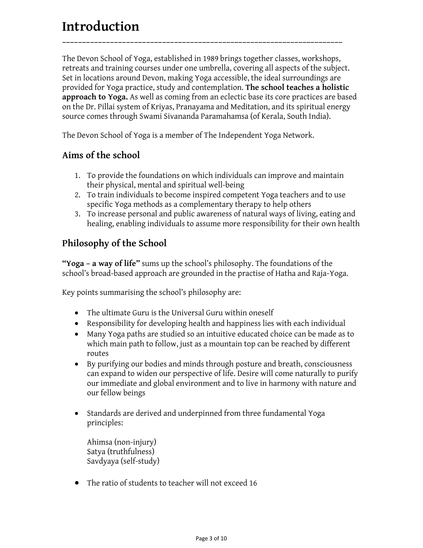### **Introduction**

The Devon School of Yoga, established in 1989 brings together classes, workshops, retreats and training courses under one umbrella, covering all aspects of the subject. Set in locations around Devon, making Yoga accessible, the ideal surroundings are provided for Yoga practice, study and contemplation. **The school teaches a holistic approach to Yoga.** As well as coming from an eclectic base its core practices are based on the Dr. Pillai system of Kriyas, Pranayama and Meditation, and its spiritual energy source comes through Swami Sivananda Paramahamsa (of Kerala, South India).

**\_\_\_\_\_\_\_\_\_\_\_\_\_\_\_\_\_\_\_\_\_\_\_\_\_\_\_\_\_\_\_\_\_\_\_\_\_\_\_\_\_\_\_\_\_\_\_\_\_\_\_\_\_\_\_\_\_\_\_\_\_\_\_\_\_\_\_\_\_\_**

The Devon School of Yoga is a member of The Independent Yoga Network.

#### **Aims of the school**

- 1. To provide the foundations on which individuals can improve and maintain their physical, mental and spiritual well-being
- 2. To train individuals to become inspired competent Yoga teachers and to use specific Yoga methods as a complementary therapy to help others
- 3. To increase personal and public awareness of natural ways of living, eating and healing, enabling individuals to assume more responsibility for their own health

#### **Philosophy of the School**

**"Yoga – a way of life"** sums up the school's philosophy. The foundations of the school's broad-based approach are grounded in the practise of Hatha and Raja-Yoga.

Key points summarising the school's philosophy are:

- The ultimate Guru is the Universal Guru within oneself
- Responsibility for developing health and happiness lies with each individual
- Many Yoga paths are studied so an intuitive educated choice can be made as to which main path to follow, just as a mountain top can be reached by different routes
- By purifying our bodies and minds through posture and breath, consciousness can expand to widen our perspective of life. Desire will come naturally to purify our immediate and global environment and to live in harmony with nature and our fellow beings
- Standards are derived and underpinned from three fundamental Yoga principles:
	- Ahimsa (non-injury) Satya (truthfulness) Savdyaya (self-study)
- The ratio of students to teacher will not exceed 16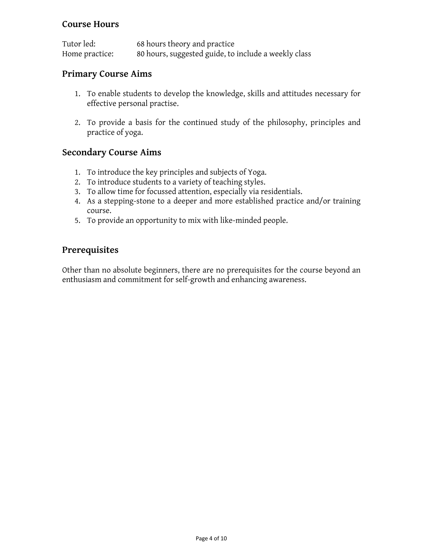#### **Course Hours**

| Tutor led:     | 68 hours theory and practice                         |
|----------------|------------------------------------------------------|
| Home practice: | 80 hours, suggested guide, to include a weekly class |

#### **Primary Course Aims**

- 1. To enable students to develop the knowledge, skills and attitudes necessary for effective personal practise.
- 2. To provide a basis for the continued study of the philosophy, principles and practice of yoga.

#### **Secondary Course Aims**

- 1. To introduce the key principles and subjects of Yoga.
- 2. To introduce students to a variety of teaching styles.
- 3. To allow time for focussed attention, especially via residentials.
- 4. As a stepping-stone to a deeper and more established practice and/or training course.
- 5. To provide an opportunity to mix with like-minded people.

#### **Prerequisites**

Other than no absolute beginners, there are no prerequisites for the course beyond an enthusiasm and commitment for self-growth and enhancing awareness.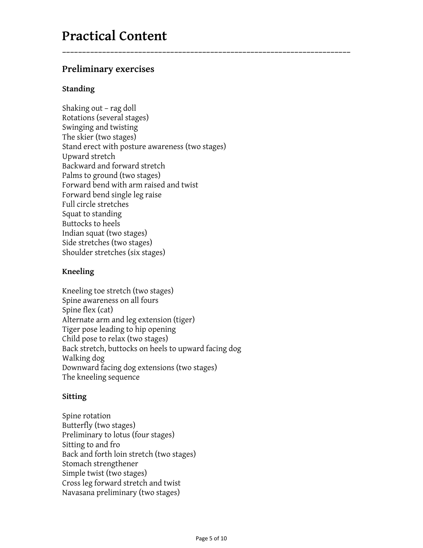### **Practical Content**

#### **Preliminary exercises**

#### **Standing**

Shaking out – rag doll Rotations (several stages) Swinging and twisting The skier (two stages) Stand erect with posture awareness (two stages) Upward stretch Backward and forward stretch Palms to ground (two stages) Forward bend with arm raised and twist Forward bend single leg raise Full circle stretches Squat to standing Buttocks to heels Indian squat (two stages) Side stretches (two stages) Shoulder stretches (six stages)

**\_\_\_\_\_\_\_\_\_\_\_\_\_\_\_\_\_\_\_\_\_\_\_\_\_\_\_\_\_\_\_\_\_\_\_\_\_\_\_\_\_\_\_\_\_\_\_\_\_\_\_\_\_\_\_\_\_\_\_\_\_\_\_\_\_\_\_\_\_\_\_\_**

#### **Kneeling**

Kneeling toe stretch (two stages) Spine awareness on all fours Spine flex (cat) Alternate arm and leg extension (tiger) Tiger pose leading to hip opening Child pose to relax (two stages) Back stretch, buttocks on heels to upward facing dog Walking dog Downward facing dog extensions (two stages) The kneeling sequence

#### **Sitting**

Spine rotation Butterfly (two stages) Preliminary to lotus (four stages) Sitting to and fro Back and forth loin stretch (two stages) Stomach strengthener Simple twist (two stages) Cross leg forward stretch and twist Navasana preliminary (two stages)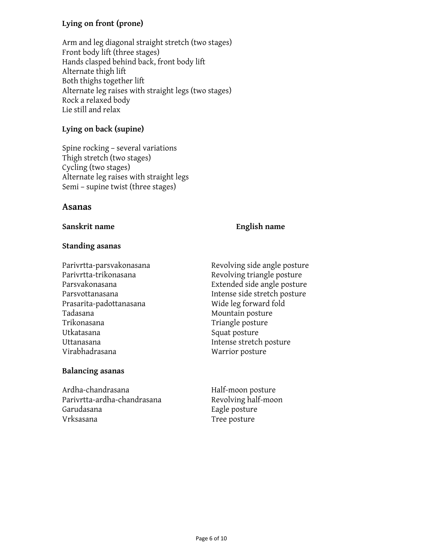#### **Lying on front (prone)**

Arm and leg diagonal straight stretch (two stages) Front body lift (three stages) Hands clasped behind back, front body lift Alternate thigh lift Both thighs together lift Alternate leg raises with straight legs (two stages) Rock a relaxed body Lie still and relax

#### **Lying on back (supine)**

Spine rocking – several variations Thigh stretch (two stages) Cycling (two stages) Alternate leg raises with straight legs Semi – supine twist (three stages)

#### **Asanas**

**Sanskrit name English name**

#### **Standing asanas**

Prasarita-padottanasana Wide leg forward fold Tadasana Mountain posture Trikonasana Triangle posture Utkatasana Squat posture Uttanasana **Intense stretch posture** Virabhadrasana Warrior posture

#### **Balancing asanas**

Ardha-chandrasana Half-moon posture Parivrtta-ardha-chandrasana Revolving half-moon Garudasana **Eagle posture** Eagle posture Vrksasana Tree posture

Parivrtta-parsvakonasana kan kana karevolving side angle posture Parivrtta-trikonasana and Revolving triangle posture Parsvakonasana Extended side angle posture Parsvottanasana **Intense side stretch posture**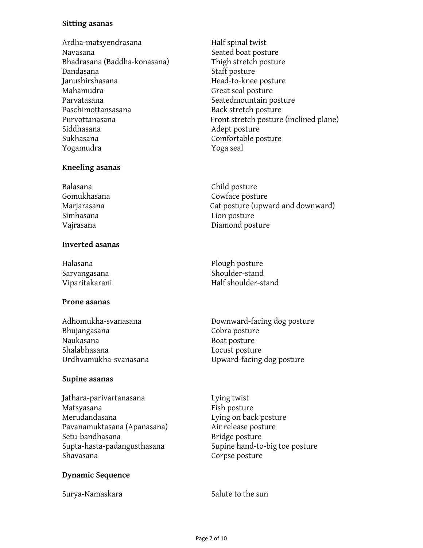#### **Sitting asanas**

Ardha-matsyendrasana Half spinal twist Navasana Navasana Seated boat posture Bhadrasana (Baddha-konasana) Thigh stretch posture Dandasana Staff posture Janushirshasana head-to-knee posture Mahamudra Great seal posture Parvatasana and a seatedmountain posture Paschimottansasana Back stretch posture Siddhasana and a studies are a studies and a studies are a studies of the studies of the studies of the studies Sukhasana Comfortable posture Yogamudra Yoga seal

#### **Kneeling asanas**

Balasana Child posture Simhasana Lion posture

#### **Inverted asanas**

#### **Prone asanas**

| Adhomukha-svanasana   |  |
|-----------------------|--|
| Bhujangasana          |  |
| Naukasana             |  |
| Shalabhasana          |  |
| Urdhvamukha-svanasana |  |

#### **Supine asanas**

Jathara-parivartanasana Lying twist Matsyasana Fish posture Merudandasana Lying on back posture Pavanamuktasana (Apanasana) Air release posture Setu-bandhasana Bridge posture Shavasana Corpse posture

#### **Dynamic Sequence**

Surya-Namaskara Surya-Namaskara Salute to the sun

Purvottanasana Front stretch posture (inclined plane)

Gomukhasana Cowface posture Marjarasana Cat posture (upward and downward) Vajrasana Diamond posture

Halasana **Plough posture** Sarvangasana Shoulder-stand Viparitakarani kalendar Half shoulder-stand

> Downward-facing dog posture Cobra posture Boat posture Locust posture Upward-facing dog posture

Supta-hasta-padangusthasana Supine hand-to-big toe posture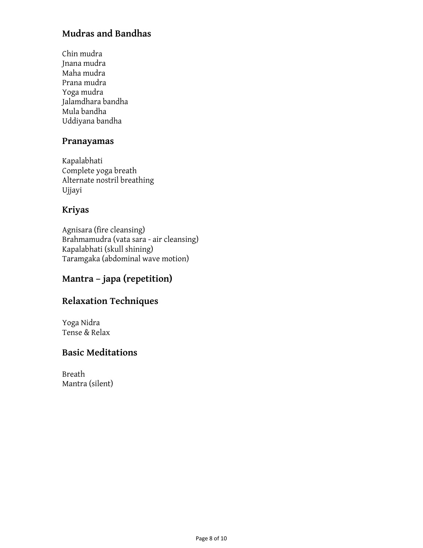#### **Mudras and Bandhas**

Chin mudra Jnana mudra Maha mudra Prana mudra Yoga mudra Jalamdhara bandha Mula bandha Uddiyana bandha

#### **Pranayamas**

Kapalabhati Complete yoga breath Alternate nostril breathing Ujjayi

#### **Kriyas**

Agnisara (fire cleansing) Brahmamudra (vata sara - air cleansing) Kapalabhati (skull shining) Taramgaka (abdominal wave motion)

#### **Mantra – japa (repetition)**

#### **Relaxation Techniques**

Yoga Nidra Tense & Relax

#### **Basic Meditations**

Breath Mantra (silent)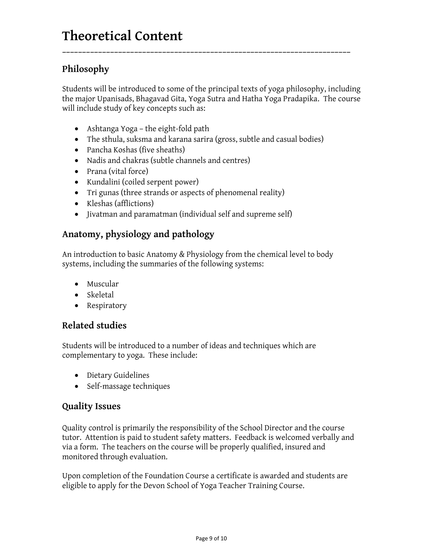#### **Philosophy**

Students will be introduced to some of the principal texts of yoga philosophy, including the major Upanisads, Bhagavad Gita, Yoga Sutra and Hatha Yoga Pradapika. The course will include study of key concepts such as:

**\_\_\_\_\_\_\_\_\_\_\_\_\_\_\_\_\_\_\_\_\_\_\_\_\_\_\_\_\_\_\_\_\_\_\_\_\_\_\_\_\_\_\_\_\_\_\_\_\_\_\_\_\_\_\_\_\_\_\_\_\_\_\_\_\_\_\_\_\_\_\_\_**

- Ashtanga Yoga the eight-fold path
- The sthula, suksma and karana sarira (gross, subtle and casual bodies)
- Pancha Koshas (five sheaths)
- Nadis and chakras (subtle channels and centres)
- Prana (vital force)
- Kundalini (coiled serpent power)
- Tri gunas (three strands or aspects of phenomenal reality)
- Kleshas (afflictions)
- Jivatman and paramatman (individual self and supreme self)

#### **Anatomy, physiology and pathology**

An introduction to basic Anatomy & Physiology from the chemical level to body systems, including the summaries of the following systems:

- Muscular
- Skeletal
- Respiratory

#### **Related studies**

Students will be introduced to a number of ideas and techniques which are complementary to yoga. These include:

- Dietary Guidelines
- Self-massage techniques

#### **Quality Issues**

Quality control is primarily the responsibility of the School Director and the course tutor. Attention is paid to student safety matters. Feedback is welcomed verbally and via a form. The teachers on the course will be properly qualified, insured and monitored through evaluation.

Upon completion of the Foundation Course a certificate is awarded and students are eligible to apply for the Devon School of Yoga Teacher Training Course.